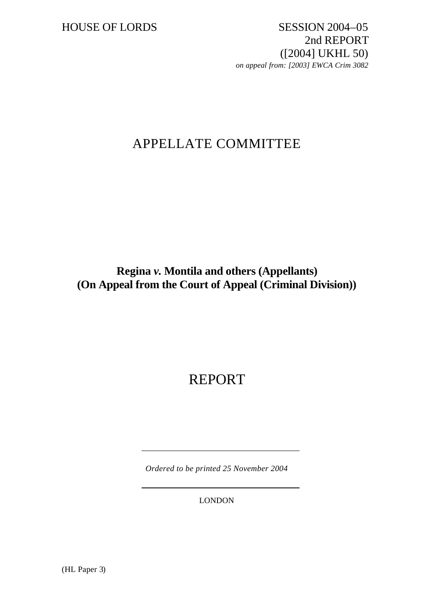HOUSE OF LORDS SESSION 2004-05 2nd REPORT ([2004] UKHL 50) *on appeal from: [2003] EWCA Crim 3082*

# APPELLATE COMMITTEE

### **Regina** *v.* **Montila and others (Appellants) (On Appeal from the Court of Appeal (Criminal Division))**

## REPORT

*Ordered to be printed 25 November 2004*

LONDON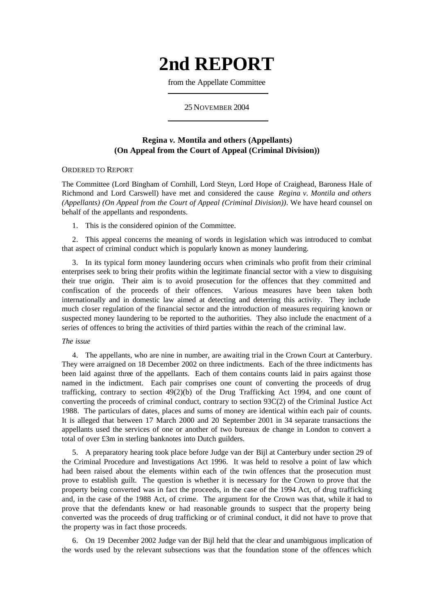# **2nd REPORT**

from the Appellate Committee

#### 25 NOVEMBER 2004

#### **Regina** *v.* **Montila and others (Appellants) (On Appeal from the Court of Appeal (Criminal Division))**

#### ORDERED TO REPORT

The Committee (Lord Bingham of Cornhill, Lord Steyn, Lord Hope of Craighead, Baroness Hale of Richmond and Lord Carswell) have met and considered the cause *Regina v. Montila and others (Appellants) (On Appeal from the Court of Appeal (Criminal Division))*. We have heard counsel on behalf of the appellants and respondents.

1. This is the considered opinion of the Committee.

2. This appeal concerns the meaning of words in legislation which was introduced to combat that aspect of criminal conduct which is popularly known as money laundering.

3. In its typical form money laundering occurs when criminals who profit from their criminal enterprises seek to bring their profits within the legitimate financial sector with a view to disguising their true origin. Their aim is to avoid prosecution for the offences that they committed and confiscation of the proceeds of their offences. Various measures have been taken both internationally and in domestic law aimed at detecting and deterring this activity. They include much closer regulation of the financial sector and the introduction of measures requiring known or suspected money laundering to be reported to the authorities. They also include the enactment of a series of offences to bring the activities of third parties within the reach of the criminal law.

#### *The issue*

4. The appellants, who are nine in number, are awaiting trial in the Crown Court at Canterbury. They were arraigned on 18 December 2002 on three indictments. Each of the three indictments has been laid against three of the appellants. Each of them contains counts laid in pairs against those named in the indictment. Each pair comprises one count of converting the proceeds of drug trafficking, contrary to section  $49(2)(b)$  of the Drug Trafficking Act 1994, and one count of converting the proceeds of criminal conduct, contrary to section 93C(2) of the Criminal Justice Act 1988. The particulars of dates, places and sums of money are identical within each pair of counts. It is alleged that between 17 March 2000 and 20 September 2001 in 34 separate transactions the appellants used the services of one or another of two bureaux de change in London to convert a total of over £3m in sterling banknotes into Dutch guilders.

5. A preparatory hearing took place before Judge van der Bijl at Canterbury under section 29 of the Criminal Procedure and Investigations Act 1996. It was held to resolve a point of law which had been raised about the elements within each of the twin offences that the prosecution must prove to establish guilt. The question is whether it is necessary for the Crown to prove that the property being converted was in fact the proceeds, in the case of the 1994 Act, of drug trafficking and, in the case of the 1988 Act, of crime. The argument for the Crown was that, while it had to prove that the defendants knew or had reasonable grounds to suspect that the property being converted was the proceeds of drug trafficking or of criminal conduct, it did not have to prove that the property was in fact those proceeds.

6. On 19 December 2002 Judge van der Bijl held that the clear and unambiguous implication of the words used by the relevant subsections was that the foundation stone of the offences which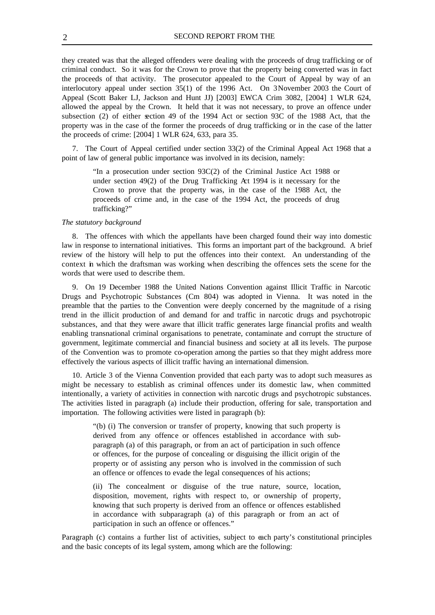they created was that the alleged offenders were dealing with the proceeds of drug trafficking or of criminal conduct. So it was for the Crown to prove that the property being converted was in fact the proceeds of that activity. The prosecutor appealed to the Court of Appeal by way of an interlocutory appeal under section 35(1) of the 1996 Act. On 3November 2003 the Court of Appeal (Scott Baker LJ, Jackson and Hunt JJ) [2003] EWCA Crim 3082, [2004] 1 WLR 624, allowed the appeal by the Crown. It held that it was not necessary, to prove an offence under subsection (2) of either section 49 of the 1994 Act or section 93C of the 1988 Act, that the property was in the case of the former the proceeds of drug trafficking or in the case of the latter the proceeds of crime: [2004] 1 WLR 624, 633, para 35.

7. The Court of Appeal certified under section 33(2) of the Criminal Appeal Act 1968 that a point of law of general public importance was involved in its decision, namely:

"In a prosecution under section 93C(2) of the Criminal Justice Act 1988 or under section 49(2) of the Drug Trafficking Act 1994 is it necessary for the Crown to prove that the property was, in the case of the 1988 Act, the proceeds of crime and, in the case of the 1994 Act, the proceeds of drug trafficking?"

#### *The statutory background*

8. The offences with which the appellants have been charged found their way into domestic law in response to international initiatives. This forms an important part of the background. A brief review of the history will help to put the offences into their context. An understanding of the context in which the draftsman was working when describing the offences sets the scene for the words that were used to describe them.

9. On 19 December 1988 the United Nations Convention against Illicit Traffic in Narcotic Drugs and Psychotropic Substances (Cm 804) was adopted in Vienna. It was noted in the preamble that the parties to the Convention were deeply concerned by the magnitude of a rising trend in the illicit production of and demand for and traffic in narcotic drugs and psychotropic substances, and that they were aware that illicit traffic generates large financial profits and wealth enabling transnational criminal organisations to penetrate, contaminate and corrupt the structure of government, legitimate commercial and financial business and society at all its levels. The purpose of the Convention was to promote co-operation among the parties so that they might address more effectively the various aspects of illicit traffic having an international dimension.

10. Article 3 of the Vienna Convention provided that each party was to adopt such measures as might be necessary to establish as criminal offences under its domestic law, when committed intentionally, a variety of activities in connection with narcotic drugs and psychotropic substances. The activities listed in paragraph (a) include their production, offering for sale, transportation and importation. The following activities were listed in paragraph (b):

"(b) (i) The conversion or transfer of property, knowing that such property is derived from any offence or offences established in accordance with subparagraph (a) of this paragraph, or from an act of participation in such offence or offences, for the purpose of concealing or disguising the illicit origin of the property or of assisting any person who is involved in the commission of such an offence or offences to evade the legal consequences of his actions;

(ii) The concealment or disguise of the true nature, source, location, disposition, movement, rights with respect to, or ownership of property, knowing that such property is derived from an offence or offences established in accordance with subparagraph (a) of this paragraph or from an act of participation in such an offence or offences."

Paragraph (c) contains a further list of activities, subject to each party's constitutional principles and the basic concepts of its legal system, among which are the following: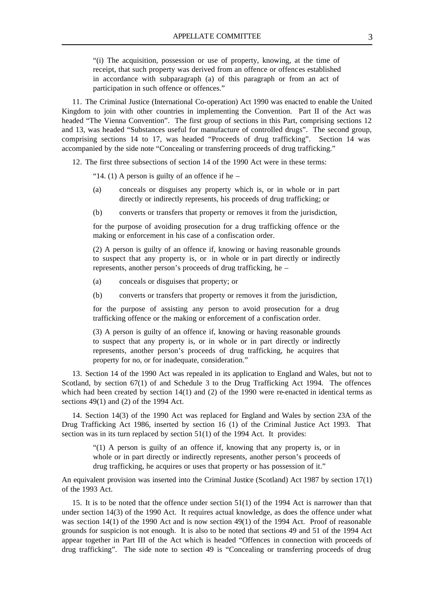"(i) The acquisition, possession or use of property, knowing, at the time of receipt, that such property was derived from an offence or offences established in accordance with subparagraph (a) of this paragraph or from an act of participation in such offence or offences."

11. The Criminal Justice (International Co-operation) Act 1990 was enacted to enable the United Kingdom to join with other countries in implementing the Convention. Part II of the Act was headed "The Vienna Convention". The first group of sections in this Part, comprising sections 12 and 13, was headed "Substances useful for manufacture of controlled drugs". The second group, comprising sections 14 to 17, was headed "Proceeds of drug trafficking". Section 14 was accompanied by the side note "Concealing or transferring proceeds of drug trafficking."

12. The first three subsections of section 14 of the 1990 Act were in these terms:

"14. (1) A person is guilty of an offence if he  $-$ 

- (a) conceals or disguises any property which is, or in whole or in part directly or indirectly represents, his proceeds of drug trafficking; or
- (b) converts or transfers that property or removes it from the jurisdiction,

for the purpose of avoiding prosecution for a drug trafficking offence or the making or enforcement in his case of a confiscation order.

(2) A person is guilty of an offence if, knowing or having reasonable grounds to suspect that any property is, or in whole or in part directly or indirectly represents, another person's proceeds of drug trafficking, he –

(a) conceals or disguises that property; or

(b) converts or transfers that property or removes it from the jurisdiction,

for the purpose of assisting any person to avoid prosecution for a drug trafficking offence or the making or enforcement of a confiscation order.

(3) A person is guilty of an offence if, knowing or having reasonable grounds to suspect that any property is, or in whole or in part directly or indirectly represents, another person's proceeds of drug trafficking, he acquires that property for no, or for inadequate, consideration."

13. Section 14 of the 1990 Act was repealed in its application to England and Wales, but not to Scotland, by section 67(1) of and Schedule 3 to the Drug Trafficking Act 1994. The offences which had been created by section 14(1) and (2) of the 1990 were re-enacted in identical terms as sections 49(1) and (2) of the 1994 Act.

14. Section 14(3) of the 1990 Act was replaced for England and Wales by section 23A of the Drug Trafficking Act 1986, inserted by section 16 (1) of the Criminal Justice Act 1993. That section was in its turn replaced by section 51(1) of the 1994 Act. It provides:

"(1) A person is guilty of an offence if, knowing that any property is, or in whole or in part directly or indirectly represents, another person's proceeds of drug trafficking, he acquires or uses that property or has possession of it."

An equivalent provision was inserted into the Criminal Justice (Scotland) Act 1987 by section 17(1) of the 1993 Act.

15. It is to be noted that the offence under section 51(1) of the 1994 Act is narrower than that under section 14(3) of the 1990 Act. It requires actual knowledge, as does the offence under what was section 14(1) of the 1990 Act and is now section 49(1) of the 1994 Act. Proof of reasonable grounds for suspicion is not enough. It is also to be noted that sections 49 and 51 of the 1994 Act appear together in Part III of the Act which is headed "Offences in connection with proceeds of drug trafficking". The side note to section 49 is "Concealing or transferring proceeds of drug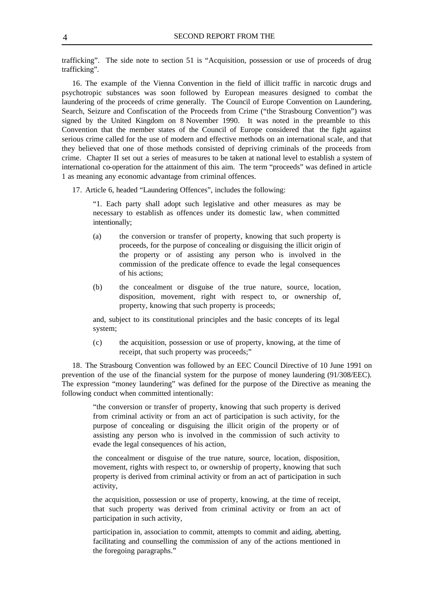trafficking". The side note to section 51 is "Acquisition, possession or use of proceeds of drug trafficking".

16. The example of the Vienna Convention in the field of illicit traffic in narcotic drugs and psychotropic substances was soon followed by European measures designed to combat the laundering of the proceeds of crime generally. The Council of Europe Convention on Laundering, Search, Seizure and Confiscation of the Proceeds from Crime ("the Strasbourg Convention") was signed by the United Kingdom on 8 November 1990. It was noted in the preamble to this Convention that the member states of the Council of Europe considered that the fight against serious crime called for the use of modern and effective methods on an international scale, and that they believed that one of those methods consisted of depriving criminals of the proceeds from crime. Chapter II set out a series of measures to be taken at national level to establish a system of international co-operation for the attainment of this aim. The term "proceeds" was defined in article 1 as meaning any economic advantage from criminal offences.

17. Article 6, headed "Laundering Offences", includes the following:

"1. Each party shall adopt such legislative and other measures as may be necessary to establish as offences under its domestic law, when committed intentionally;

- (a) the conversion or transfer of property, knowing that such property is proceeds, for the purpose of concealing or disguising the illicit origin of the property or of assisting any person who is involved in the commission of the predicate offence to evade the legal consequences of his actions;
- (b) the concealment or disguise of the true nature, source, location, disposition, movement, right with respect to, or ownership of, property, knowing that such property is proceeds;

and, subject to its constitutional principles and the basic concepts of its legal system;

(c) the acquisition, possession or use of property, knowing, at the time of receipt, that such property was proceeds;"

18. The Strasbourg Convention was followed by an EEC Council Directive of 10 June 1991 on prevention of the use of the financial system for the purpose of money laundering (91/308/EEC). The expression "money laundering" was defined for the purpose of the Directive as meaning the following conduct when committed intentionally:

"the conversion or transfer of property, knowing that such property is derived from criminal activity or from an act of participation is such activity, for the purpose of concealing or disguising the illicit origin of the property or of assisting any person who is involved in the commission of such activity to evade the legal consequences of his action,

the concealment or disguise of the true nature, source, location, disposition, movement, rights with respect to, or ownership of property, knowing that such property is derived from criminal activity or from an act of participation in such activity,

the acquisition, possession or use of property, knowing, at the time of receipt, that such property was derived from criminal activity or from an act of participation in such activity,

participation in, association to commit, attempts to commit and aiding, abetting, facilitating and counselling the commission of any of the actions mentioned in the foregoing paragraphs."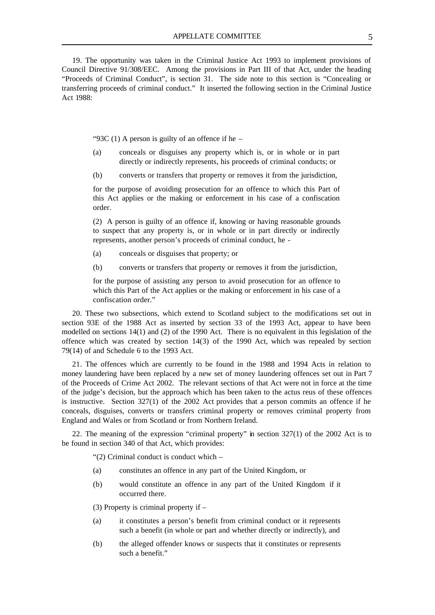19. The opportunity was taken in the Criminal Justice Act 1993 to implement provisions of Council Directive 91/308/EEC. Among the provisions in Part III of that Act, under the heading "Proceeds of Criminal Conduct", is section 31. The side note to this section is "Concealing or transferring proceeds of criminal conduct." It inserted the following section in the Criminal Justice Act 1988:

"93C (1) A person is guilty of an offence if he  $-$ 

- (a) conceals or disguises any property which is, or in whole or in part directly or indirectly represents, his proceeds of criminal conducts; or
- (b) converts or transfers that property or removes it from the jurisdiction,

for the purpose of avoiding prosecution for an offence to which this Part of this Act applies or the making or enforcement in his case of a confiscation order.

(2) A person is guilty of an offence if, knowing or having reasonable grounds to suspect that any property is, or in whole or in part directly or indirectly represents, another person's proceeds of criminal conduct, he -

- (a) conceals or disguises that property; or
- (b) converts or transfers that property or removes it from the jurisdiction,

for the purpose of assisting any person to avoid prosecution for an offence to which this Part of the Act applies or the making or enforcement in his case of a confiscation order."

20. These two subsections, which extend to Scotland subject to the modifications set out in section 93E of the 1988 Act as inserted by section 33 of the 1993 Act, appear to have been modelled on sections 14(1) and (2) of the 1990 Act. There is no equivalent in this legislation of the offence which was created by section 14(3) of the 1990 Act, which was repealed by section 79(14) of and Schedule 6 to the 1993 Act.

21. The offences which are currently to be found in the 1988 and 1994 Acts in relation to money laundering have been replaced by a new set of money laundering offences set out in Part 7 of the Proceeds of Crime Act 2002. The relevant sections of that Act were not in force at the time of the judge's decision, but the approach which has been taken to the actus reus of these offences is instructive. Section 327(1) of the 2002 Act provides that a person commits an offence if he conceals, disguises, converts or transfers criminal property or removes criminal property from England and Wales or from Scotland or from Northern Ireland.

22. The meaning of the expression "criminal property" in section 327(1) of the 2002 Act is to be found in section 340 of that Act, which provides:

"(2) Criminal conduct is conduct which –

- (a) constitutes an offence in any part of the United Kingdom, or
- (b) would constitute an offence in any part of the United Kingdom if it occurred there.

(3) Property is criminal property if –

- (a) it constitutes a person's benefit from criminal conduct or it represents such a benefit (in whole or part and whether directly or indirectly), and
- (b) the alleged offender knows or suspects that it constitutes or represents such a benefit."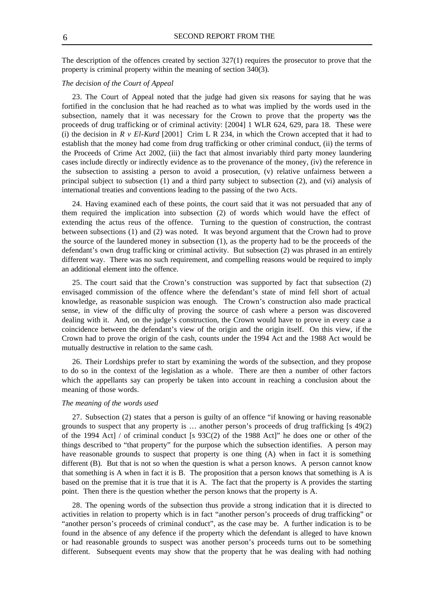The description of the offences created by section 327(1) requires the prosecutor to prove that the property is criminal property within the meaning of section 340(3).

#### *The decision of the Court of Appeal*

23. The Court of Appeal noted that the judge had given six reasons for saying that he was fortified in the conclusion that he had reached as to what was implied by the words used in the subsection, namely that it was necessary for the Crown to prove that the property was the proceeds of drug trafficking or of criminal activity: [2004] 1 WLR 624, 629, para 18. These were (i) the decision in  $R \text{ } v$  *El-Kurd* [2001] Crim L R 234, in which the Crown accepted that it had to establish that the money had come from drug trafficking or other criminal conduct, (ii) the terms of the Proceeds of Crime Act 2002, (iii) the fact that almost invariably third party money laundering cases include directly or indirectly evidence as to the provenance of the money, (iv) the reference in the subsection to assisting a person to avoid a prosecution, (v) relative unfairness between a principal subject to subsection (1) and a third party subject to subsection (2), and (vi) analysis of international treaties and conventions leading to the passing of the two Acts.

24. Having examined each of these points, the court said that it was not persuaded that any of them required the implication into subsection (2) of words which would have the effect of extending the actus reus of the offence. Turning to the question of construction, the contrast between subsections (1) and (2) was noted. It was beyond argument that the Crown had to prove the source of the laundered money in subsection (1), as the property had to be the proceeds of the defendant's own drug traffic king or criminal activity. But subsection (2) was phrased in an entirely different way. There was no such requirement, and compelling reasons would be required to imply an additional element into the offence.

25. The court said that the Crown's construction was supported by fact that subsection (2) envisaged commission of the offence where the defendant's state of mind fell short of actual knowledge, as reasonable suspicion was enough. The Crown's construction also made practical sense, in view of the diffic ulty of proving the source of cash where a person was discovered dealing with it. And, on the judge's construction, the Crown would have to prove in every case a coincidence between the defendant's view of the origin and the origin itself. On this view, if the Crown had to prove the origin of the cash, counts under the 1994 Act and the 1988 Act would be mutually destructive in relation to the same cash.

26. Their Lordships prefer to start by examining the words of the subsection, and they propose to do so in the context of the legislation as a whole. There are then a number of other factors which the appellants say can properly be taken into account in reaching a conclusion about the meaning of those words.

#### *The meaning of the words used*

27. Subsection (2) states that a person is guilty of an offence "if knowing or having reasonable grounds to suspect that any property is … another person's proceeds of drug trafficking [s 49(2) of the 1994 Act] / of criminal conduct [s 93C(2) of the 1988 Act]" he does one or other of the things described to "that property" for the purpose which the subsection identifies. A person may have reasonable grounds to suspect that property is one thing (A) when in fact it is something different (B). But that is not so when the question is what a person knows. A person cannot know that something is A when in fact it is B. The proposition that a person knows that something is A is based on the premise that it is true that it is A. The fact that the property is A provides the starting point. Then there is the question whether the person knows that the property is A.

28. The opening words of the subsection thus provide a strong indication that it is directed to activities in relation to property which is in fact "another person's proceeds of drug trafficking" or "another person's proceeds of criminal conduct", as the case may be. A further indication is to be found in the absence of any defence if the property which the defendant is alleged to have known or had reasonable grounds to suspect was another person's proceeds turns out to be something different. Subsequent events may show that the property that he was dealing with had nothing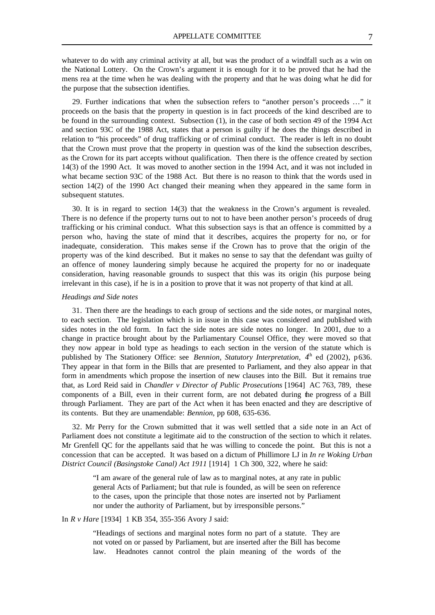whatever to do with any criminal activity at all, but was the product of a windfall such as a win on the National Lottery. On the Crown's argument it is enough for it to be proved that he had the mens rea at the time when he was dealing with the property and that he was doing what he did for the purpose that the subsection identifies.

29. Further indications that when the subsection refers to "another person's proceeds …" it proceeds on the basis that the property in question is in fact proceeds of the kind described are to be found in the surrounding context. Subsection (1), in the case of both section 49 of the 1994 Act and section 93C of the 1988 Act, states that a person is guilty if he does the things described in relation to "his proceeds" of drug trafficking or of criminal conduct. The reader is left in no doubt that the Crown must prove that the property in question was of the kind the subsection describes, as the Crown for its part accepts without qualification. Then there is the offence created by section 14(3) of the 1990 Act. It was moved to another section in the 1994 Act, and it was not included in what became section 93C of the 1988 Act. But there is no reason to think that the words used in section 14(2) of the 1990 Act changed their meaning when they appeared in the same form in subsequent statutes.

30. It is in regard to section 14(3) that the weakness in the Crown's argument is revealed. There is no defence if the property turns out to not to have been another person's proceeds of drug trafficking or his criminal conduct. What this subsection says is that an offence is committed by a person who, having the state of mind that it describes, acquires the property for no, or for inadequate, consideration. This makes sense if the Crown has to prove that the origin of the property was of the kind described. But it makes no sense to say that the defendant was guilty of an offence of money laundering simply because he acquired the property for no or inadequate consideration, having reasonable grounds to suspect that this was its origin (his purpose being irrelevant in this case), if he is in a position to prove that it was not property of that kind at all.

#### *Headings and Side notes*

31. Then there are the headings to each group of sections and the side notes, or marginal notes, to each section. The legislation which is in issue in this case was considered and published with sides notes in the old form. In fact the side notes are side notes no longer. In 2001, due to a change in practice brought about by the Parliamentary Counsel Office, they were moved so that they now appear in bold type as headings to each section in the version of the statute which is published by The Stationery Office: see *Bennion, Statutory Interpretation*, 4th ed (2002), p636. They appear in that form in the Bills that are presented to Parliament, and they also appear in that form in amendments which propose the insertion of new clauses into the Bill. But it remains true that, as Lord Reid said in *Chandler v Director of Public Prosecutions* [1964] AC 763, 789, these components of a Bill, even in their current form, are not debated during the progress of a Bill through Parliament. They are part of the Act when it has been enacted and they are descriptive of its contents. But they are unamendable: *Bennion*, pp 608, 635-636.

32. Mr Perry for the Crown submitted that it was well settled that a side note in an Act of Parliament does not constitute a legitimate aid to the construction of the section to which it relates. Mr Grenfell QC for the appellants said that he was willing to concede the point. But this is not a concession that can be accepted. It was based on a dictum of Phillimore LJ in *In re Woking Urban District Council (Basingstoke Canal) Act 1911* [1914] 1 Ch 300, 322, where he said:

"I am aware of the general rule of law as to marginal notes, at any rate in public general Acts of Parliament; but that rule is founded, as will be seen on reference to the cases, upon the principle that those notes are inserted not by Parliament nor under the authority of Parliament, but by irresponsible persons."

#### In *R v Hare* [1934] 1 KB 354, 355-356 Avory J said:

"Headings of sections and marginal notes form no part of a statute. They are not voted on or passed by Parliament, but are inserted after the Bill has become law. Headnotes cannot control the plain meaning of the words of the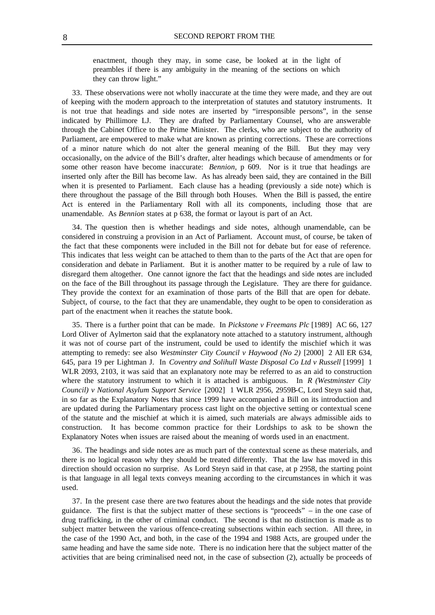enactment, though they may, in some case, be looked at in the light of preambles if there is any ambiguity in the meaning of the sections on which they can throw light."

33. These observations were not wholly inaccurate at the time they were made, and they are out of keeping with the modern approach to the interpretation of statutes and statutory instruments. It is not true that headings and side notes are inserted by "irresponsible persons", in the sense indicated by Phillimore LJ. They are drafted by Parliamentary Counsel, who are answerable through the Cabinet Office to the Prime Minister. The clerks, who are subject to the authority of Parliament, are empowered to make what are known as printing corrections. These are corrections of a minor nature which do not alter the general meaning of the Bill. But they may very occasionally, on the advice of the Bill's drafter, alter headings which because of amendments or for some other reason have become inaccurate: *Bennion,* p 609. Nor is it true that headings are inserted only after the Bill has become law. As has already been said, they are contained in the Bill when it is presented to Parliament. Each clause has a heading (previously a side note) which is there throughout the passage of the Bill through both Houses. When the Bill is passed, the entire Act is entered in the Parliamentary Roll with all its components, including those that are unamendable. As *Bennion* states at p 638, the format or layout is part of an Act.

34. The question then is whether headings and side notes, although unamendable, can be considered in construing a provision in an Act of Parliament. Account must, of course, be taken of the fact that these components were included in the Bill not for debate but for ease of reference. This indicates that less weight can be attached to them than to the parts of the Act that are open for consideration and debate in Parliament. But it is another matter to be required by a rule of law to disregard them altogether. One cannot ignore the fact that the headings and side notes are included on the face of the Bill throughout its passage through the Legislature. They are there for guidance. They provide the context for an examination of those parts of the Bill that are open for debate. Subject, of course, to the fact that they are unamendable, they ought to be open to consideration as part of the enactment when it reaches the statute book.

35. There is a further point that can be made. In *Pickstone v Freemans Plc* [1989] AC 66, 127 Lord Oliver of Aylmerton said that the explanatory note attached to a statutory instrument, although it was not of course part of the instrument, could be used to identify the mischief which it was attempting to remedy: see also *Westminster City Council v Haywood (No 2)* [2000] 2 All ER 634, 645, para 19 per Lightman J. In *Coventry and Solihull Waste Disposal Co Ltd v Russell* [1999] 1 WLR 2093, 2103, it was said that an explanatory note may be referred to as an aid to construction where the statutory instrument to which it is attached is ambiguous. In *R (Westminster City Council) v National Asylum Support Service* [2002] 1 WLR 2956, 2959B-C, Lord Steyn said that, in so far as the Explanatory Notes that since 1999 have accompanied a Bill on its introduction and are updated during the Parliamentary process cast light on the objective setting or contextual scene of the statute and the mischief at which it is aimed, such materials are always admissible aids to construction. It has become common practice for their Lordships to ask to be shown the Explanatory Notes when issues are raised about the meaning of words used in an enactment.

36. The headings and side notes are as much part of the contextual scene as these materials, and there is no logical reason why they should be treated differently. That the law has moved in this direction should occasion no surprise. As Lord Steyn said in that case, at p 2958, the starting point is that language in all legal texts conveys meaning according to the circumstances in which it was used.

37. In the present case there are two features about the headings and the side notes that provide guidance. The first is that the subject matter of these sections is "proceeds" – in the one case of drug trafficking, in the other of criminal conduct. The second is that no distinction is made as to subject matter between the various offence-creating subsections within each section. All three, in the case of the 1990 Act, and both, in the case of the 1994 and 1988 Acts, are grouped under the same heading and have the same side note. There is no indication here that the subject matter of the activities that are being criminalised need not, in the case of subsection (2), actually be proceeds of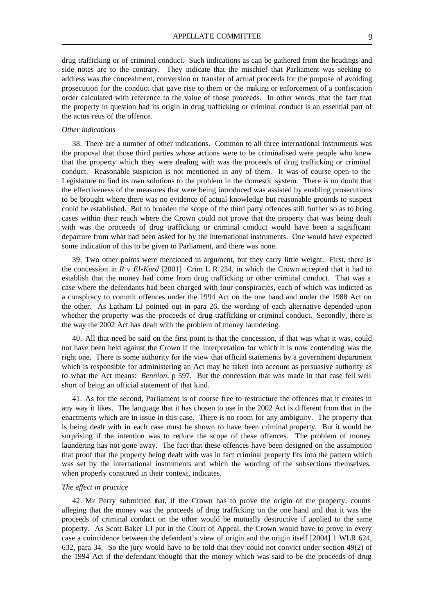drug trafficking or of criminal conduct. Such indications as can be gathered from the headings and side notes are to the contrary. They indicate that the mischief that Parliament was seeking to address was the concealment, conversion or transfer of actual proceeds for the purpose of avoiding prosecution for the conduct that gave rise to them or the making or enforcement of a confiscation order calculated with reference to the value of those proceeds. In other words, that the fact that the property in question had its origin in drug trafficking or criminal conduct is an essential part of the actus reus of the offence.

#### *Other indications*

38. There are a number of other indications. Common to all three international instruments was the proposal that those third parties whose actions were to be criminalised were people who knew that the property which they were dealing with was the proceeds of drug trafficking or criminal conduct. Reasonable suspicion is not mentioned in any of them. It was of course open to the Legislature to find its own solutions to the problem in the domestic system. There is no doubt that the effectiveness of the measures that were being introduced was assisted by enabling prosecutions to be brought where there was no evidence of actual knowledge but reasonable grounds to suspect could be established. But to broaden the scope of the third party offences still further so as to bring cases within their reach where the Crown could not prove that the property that was being dealt with was the proceeds of drug trafficking or criminal conduct would have been a significant departure from what had been asked for by the international instruments. One would have expected some indication of this to be given to Parliament, and there was none.

39. Two other points were mentioned in argument, but they carry little weight. First, there is the concession in  $R \vee El-Kurd$  [2001] Crim L R 234, in which the Crown accepted that it had to establish that the money had come from drug trafficking or other criminal conduct. That was a case where the defendants had been charged with four conspiracies, each of which was indicted as a conspiracy to commit offences under the 1994 Act on the one hand and under the 1988 Act on the other. As Latham LJ pointed out in para 26, the wording of each alternative depended upon whether the property was the proceeds of drug trafficking or criminal conduct. Secondly, there is the way the 2002 Act has dealt with the problem of money laundering.

40. All that need be said on the first point is that the concession, if that was what it was, could not have been held against the Crown if the interpretation for which it is now contending was the right one. There is some authority for the view that official statements by a government department which is responsible for administering an Act may be taken into account as persuasive authority as to what the Act means: *Bennion,* p 597. But the concession that was made in that case fell well short of being an official statement of that kind.

41. As for the second, Parliament is of course free to restructure the offences that it creates in any way it likes. The language that it has chosen to use in the 2002 Act is different from that in the enactments which are in issue in this case. There is no room for any ambiguity. The property that is being dealt with in each case must be shown to have been criminal property. But it would be surprising if the intention was to reduce the scope of these offences. The problem of money laundering has not gone away. The fact that these offences have been designed on the assumption that proof that the property being dealt with was in fact criminal property fits into the pattern which was set by the international instruments and which the wording of the subsections themselves, when properly construed in their context, indicates.

#### *The effect in practice*

42. Mr Perry submitted that, if the Crown has to prove the origin of the property, counts alleging that the money was the proceeds of drug trafficking on the one hand and that it was the proceeds of criminal conduct on the other would be mutually destructive if applied to the same property. As Scott Baker LJ put in the Court of Appeal, the Crown would have to prove in every case a coincidence between the defendant's view of origin and the origin itself [2004] 1 WLR 624, 632, para 34. So the jury would have to be told that they could not convict under section 49(2) of the 1994 Act if the defendant thought that the money which was said to be the proceeds of drug